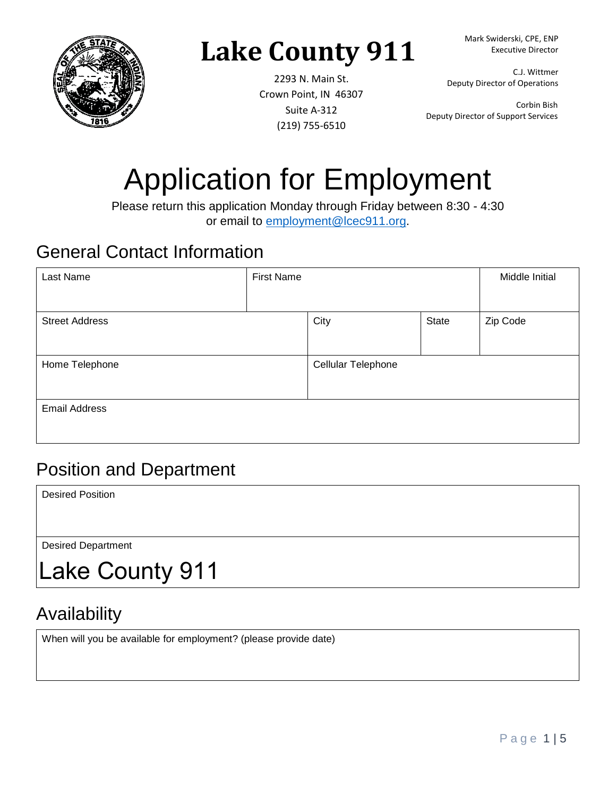

# **Lake County 911**

2293 N. Main St. Crown Point, IN 46307 Suite A-312 (219) 755-6510

Mark Swiderski, CPE, ENP Executive Director

C.J. Wittmer Deputy Director of Operations

Corbin Bish Deputy Director of Support Services

# Application for Employment

Please return this application Monday through Friday between 8:30 - 4:30 or email to [employment@lcec911.org.](mailto:employment@lcec911.org)

#### General Contact Information

| Last Name             | <b>First Name</b> |                    |       | Middle Initial |
|-----------------------|-------------------|--------------------|-------|----------------|
|                       |                   |                    |       |                |
| <b>Street Address</b> |                   | City               | State | Zip Code       |
|                       |                   |                    |       |                |
| Home Telephone        |                   | Cellular Telephone |       |                |
|                       |                   |                    |       |                |
| <b>Email Address</b>  |                   |                    |       |                |
|                       |                   |                    |       |                |

#### Position and Department

Desired Position

Desired Department

Lake County 911

### Availability

When will you be available for employment? (please provide date)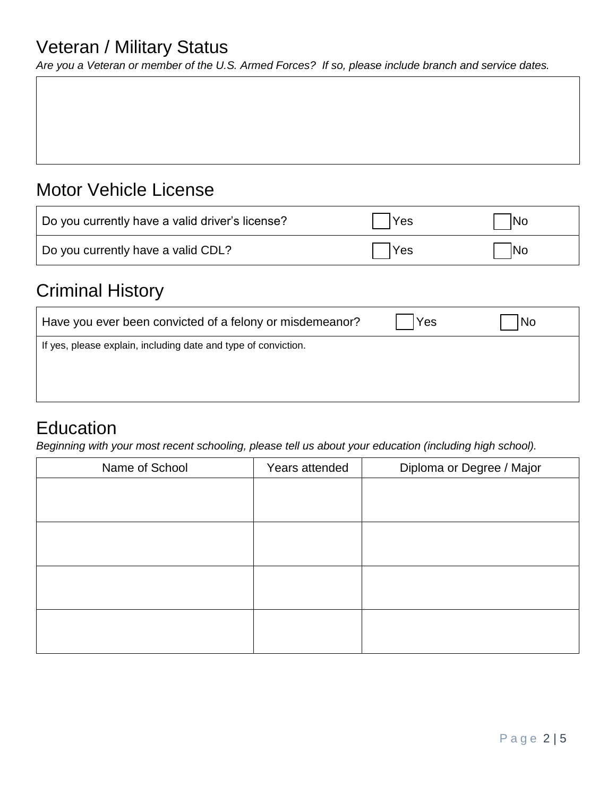#### Veteran / Military Status

*Are you a Veteran or member of the U.S. Armed Forces? If so, please include branch and service dates.*

#### Motor Vehicle License

| Do you currently have a valid driver's license? | Yes | No  |
|-------------------------------------------------|-----|-----|
| Do you currently have a valid CDL?              | Yes | IN0 |

#### Criminal History

| Have you ever been convicted of a felony or misdemeanor?       | Yes | No |
|----------------------------------------------------------------|-----|----|
| If yes, please explain, including date and type of conviction. |     |    |
|                                                                |     |    |

#### **Education**

*Beginning with your most recent schooling, please tell us about your education (including high school).*

| Name of School | Years attended | Diploma or Degree / Major |
|----------------|----------------|---------------------------|
|                |                |                           |
|                |                |                           |
|                |                |                           |
|                |                |                           |
|                |                |                           |
|                |                |                           |
|                |                |                           |
|                |                |                           |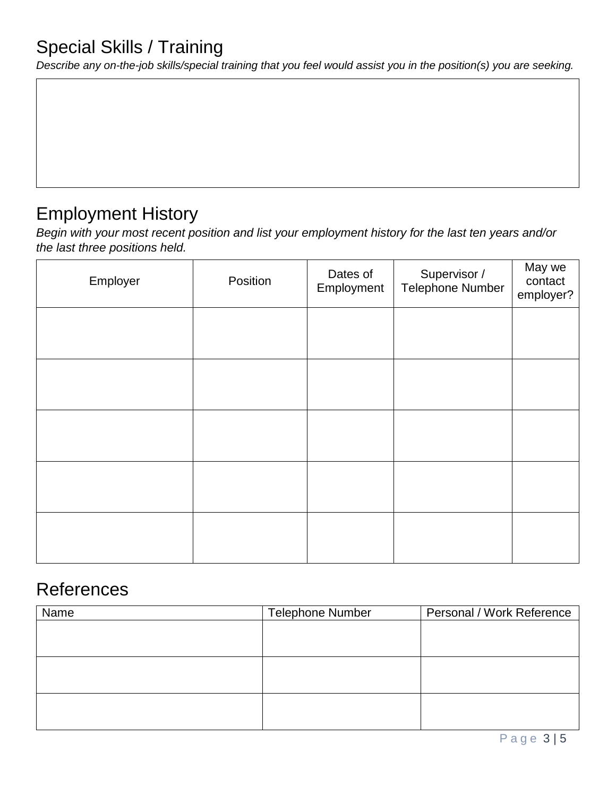*Describe any on-the-job skills/special training that you feel would assist you in the position(s) you are seeking.*

#### Employment History

*Begin with your most recent position and list your employment history for the last ten years and/or the last three positions held.* 

| Employer | Position | Dates of<br>Employment | Supervisor /<br><b>Telephone Number</b> | May we<br>contact<br>employer? |
|----------|----------|------------------------|-----------------------------------------|--------------------------------|
|          |          |                        |                                         |                                |
|          |          |                        |                                         |                                |
|          |          |                        |                                         |                                |
|          |          |                        |                                         |                                |
|          |          |                        |                                         |                                |

#### References

| Name | <b>Telephone Number</b> | Personal / Work Reference |
|------|-------------------------|---------------------------|
|      |                         |                           |
|      |                         |                           |
|      |                         |                           |
|      |                         |                           |
|      |                         |                           |
|      |                         |                           |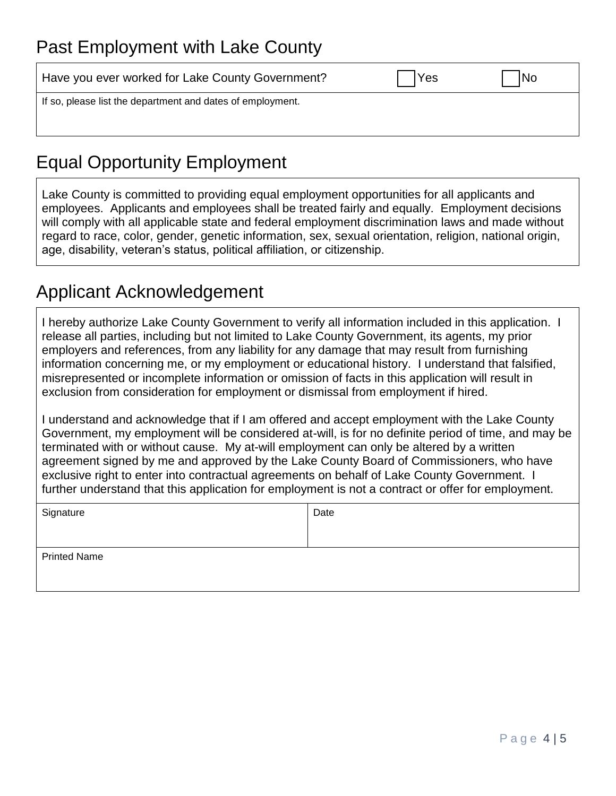#### Past Employment with Lake County

| Have you ever worked for Lake County Government?           | Yes | No |
|------------------------------------------------------------|-----|----|
| If so, please list the department and dates of employment. |     |    |
|                                                            |     |    |

## Equal Opportunity Employment

Lake County is committed to providing equal employment opportunities for all applicants and employees. Applicants and employees shall be treated fairly and equally. Employment decisions will comply with all applicable state and federal employment discrimination laws and made without regard to race, color, gender, genetic information, sex, sexual orientation, religion, national origin, age, disability, veteran's status, political affiliation, or citizenship.

#### Applicant Acknowledgement

I hereby authorize Lake County Government to verify all information included in this application. I release all parties, including but not limited to Lake County Government, its agents, my prior employers and references, from any liability for any damage that may result from furnishing information concerning me, or my employment or educational history. I understand that falsified, misrepresented or incomplete information or omission of facts in this application will result in exclusion from consideration for employment or dismissal from employment if hired.

I understand and acknowledge that if I am offered and accept employment with the Lake County Government, my employment will be considered at-will, is for no definite period of time, and may be terminated with or without cause. My at-will employment can only be altered by a written agreement signed by me and approved by the Lake County Board of Commissioners, who have exclusive right to enter into contractual agreements on behalf of Lake County Government. I further understand that this application for employment is not a contract or offer for employment.

| Signature           | Date |
|---------------------|------|
| <b>Printed Name</b> |      |